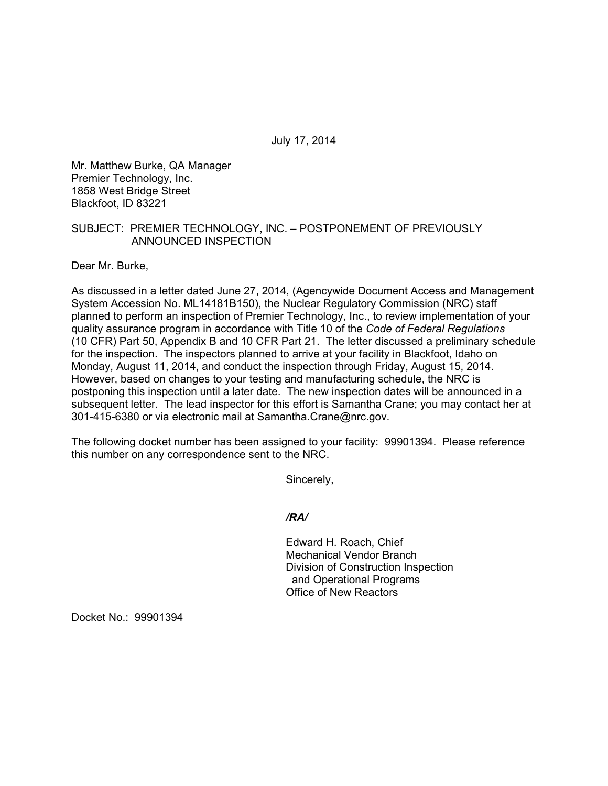July 17, 2014

Mr. Matthew Burke, QA Manager Premier Technology, Inc. 1858 West Bridge Street Blackfoot, ID 83221

# SUBJECT: PREMIER TECHNOLOGY, INC. – POSTPONEMENT OF PREVIOUSLY ANNOUNCED INSPECTION

Dear Mr. Burke,

As discussed in a letter dated June 27, 2014, (Agencywide Document Access and Management System Accession No. ML14181B150), the Nuclear Regulatory Commission (NRC) staff planned to perform an inspection of Premier Technology, Inc., to review implementation of your quality assurance program in accordance with Title 10 of the *Code of Federal Regulations*  (10 CFR) Part 50, Appendix B and 10 CFR Part 21. The letter discussed a preliminary schedule for the inspection. The inspectors planned to arrive at your facility in Blackfoot, Idaho on Monday, August 11, 2014, and conduct the inspection through Friday, August 15, 2014. However, based on changes to your testing and manufacturing schedule, the NRC is postponing this inspection until a later date. The new inspection dates will be announced in a subsequent letter. The lead inspector for this effort is Samantha Crane; you may contact her at 301-415-6380 or via electronic mail at Samantha.Crane@nrc.gov.

The following docket number has been assigned to your facility: 99901394. Please reference this number on any correspondence sent to the NRC.

Sincerely,

# */RA/*

Edward H. Roach, Chief Mechanical Vendor Branch Division of Construction Inspection and Operational Programs Office of New Reactors

Docket No.: 99901394